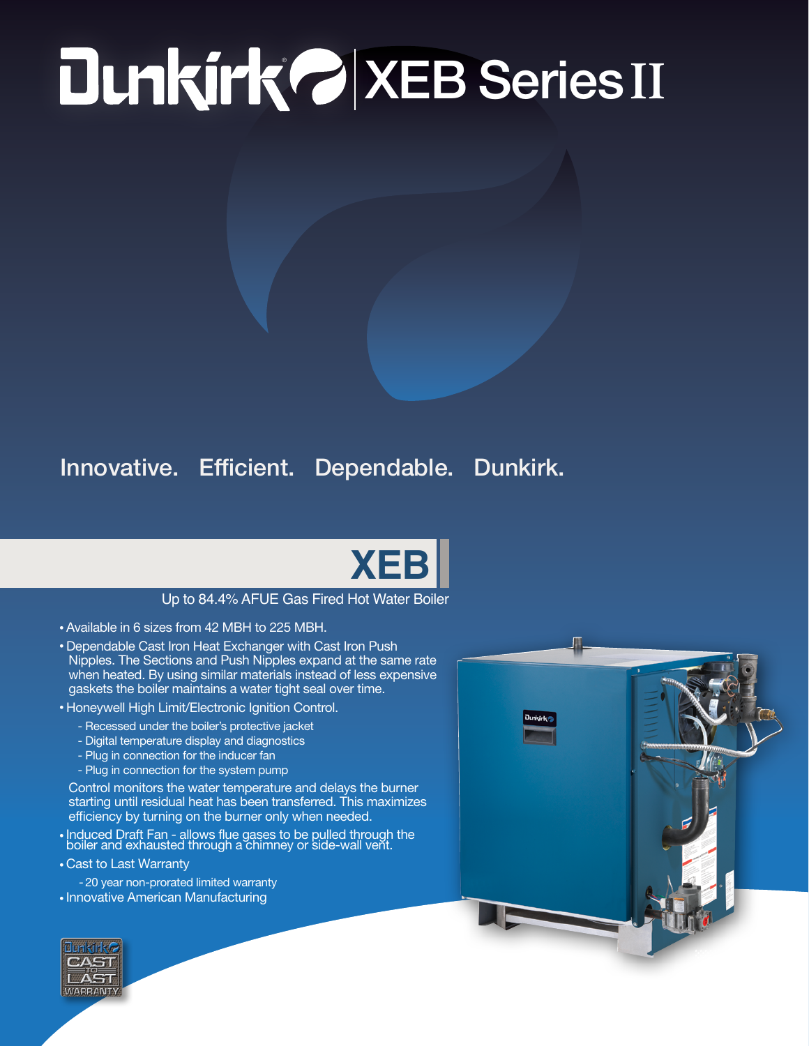## ® XEB Series **II**

## Innovative. Efficient. Dependable. Dunkirk.



## Up to 84.4% AFUE Gas Fired Hot Water Boiler

- Available in 6 sizes from 42 MBH to 225 MBH.
- Dependable Cast Iron Heat Exchanger with Cast Iron Push Nipples. The Sections and Push Nipples expand at the same rate when heated. By using similar materials instead of less expensive gaskets the boiler maintains a water tight seal over time.
- Honeywell High Limit/Electronic Ignition Control.
	- Recessed under the boiler's protective jacket
	- Digital temperature display and diagnostics
	- Plug in connection for the inducer fan
	- Plug in connection for the system pump

Control monitors the water temperature and delays the burner starting until residual heat has been transferred. This maximizes efficiency by turning on the burner only when needed.

- Induced Draft Fan allows flue gases to be pulled through the boiler and exhausted through a chimney or side-wall vent.
- Cast to Last Warranty

- 20 year non-prorated limited warranty • Innovative American Manufacturing